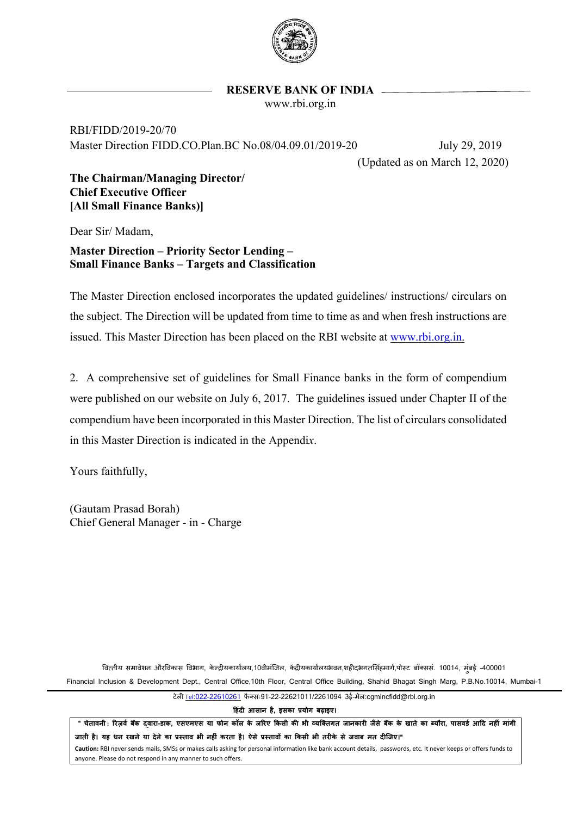

#### **RESERVE BANK OF INDIA**

www.rbi.org.in

RBI/FIDD/2019-20/70 Master Direction FIDD.CO.Plan.BC No.08/04.09.01/2019-20 July 29, 2019

(Updated as on March 12, 2020)

**The Chairman/Managing Director/ Chief Executive Officer [All Small Finance Banks)]**

Dear Sir/ Madam,

**Master Direction – Priority Sector Lending – Small Finance Banks – Targets and Classification**

The Master Direction enclosed incorporates the updated guidelines/ instructions/ circulars on the subject. The Direction will be updated from time to time as and when fresh instructions are issued. This Master Direction has been placed on the RBI website at [www.rbi.org.in.](http://www.rbi.org.in/)

2. A comprehensive set of guidelines for Small Finance banks in the form of compendium were published on our website on July 6, 2017. The guidelines issued under Chapter II of the compendium have been incorporated in this Master Direction. The list of circulars consolidated in this Master Direction is indicated in the Appendi*x*.

Yours faithfully,

(Gautam Prasad Borah) Chief General Manager - in - Charge

वित्तीय समावेशन औरविकास विभाग, केन्द्रीयकार्यालय,10वीमंजिल, केंद्रीयकार्यालयभवन,शहीदभगतसिंहमार्ग,पोस्ट बॉक्ससं. 10014, मंबई -400001 Financial Inclusion & Development Dept., Central Office,10th Floor, Central Office Building, Shahid Bhagat Singh Marg, P.B.No.10014, Mumbai-1

टेल� Tel[:022-22610261](tel:022-22610261) फै क्सः91-22-22621011/2261094 3ई-मेल:cgmincfidd@rbi.org.in

**�हंद� आसान है, इसका प्रयोग बढ़ाइए।**

" चेतावनी : रिज़र्व बैंक दवारा-डाक, एसएमएस या फोन कॉल के जरिए किसी की भी व्यक्तिगत जानकारी जैसे बैंक के खाते का ब्यौरा, पासवर्ड आदि नहीं मांगी जाती है। यह धन रखने या देने का प्रस्ताव भी नहीं करता है। ऐसे प्रस्तावों का किसी भी तरीके से जवाब मत दीजिए।"

**Caution:** RBI never sends mails, SMSs or makes calls asking for personal information like bank account details, passwords, etc. It never keeps or offers funds to anyone. Please do not respond in any manner to such offers.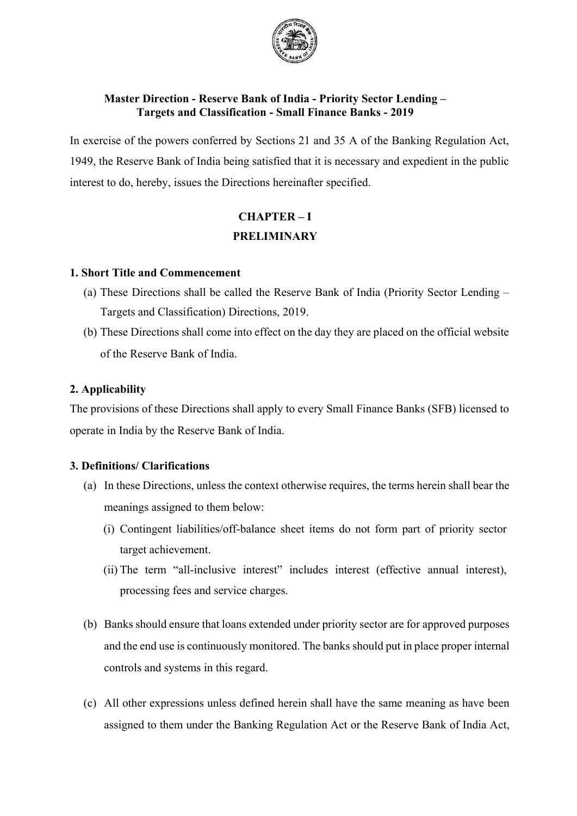

### **Master Direction - Reserve Bank of India - Priority Sector Lending – Targets and Classification - Small Finance Banks - 2019**

In exercise of the powers conferred by Sections 21 and 35 A of the Banking Regulation Act, 1949, the Reserve Bank of India being satisfied that it is necessary and expedient in the public interest to do, hereby, issues the Directions hereinafter specified.

# **CHAPTER – I PRELIMINARY**

#### **1. Short Title and Commencement**

- (a) These Directions shall be called the Reserve Bank of India (Priority Sector Lending Targets and Classification) Directions, 2019.
- (b) These Directions shall come into effect on the day they are placed on the official website of the Reserve Bank of India.

### **2. Applicability**

The provisions of these Directions shall apply to every Small Finance Banks (SFB) licensed to operate in India by the Reserve Bank of India.

### **3. Definitions/ Clarifications**

- (a) In these Directions, unless the context otherwise requires, the terms herein shall bear the meanings assigned to them below:
	- (i) Contingent liabilities/off-balance sheet items do not form part of priority sector target achievement.
	- (ii) The term "all-inclusive interest" includes interest (effective annual interest), processing fees and service charges.
- (b) Banks should ensure that loans extended under priority sector are for approved purposes and the end use is continuously monitored. The banks should put in place proper internal controls and systems in this regard.
- (c) All other expressions unless defined herein shall have the same meaning as have been assigned to them under the Banking Regulation Act or the Reserve Bank of India Act,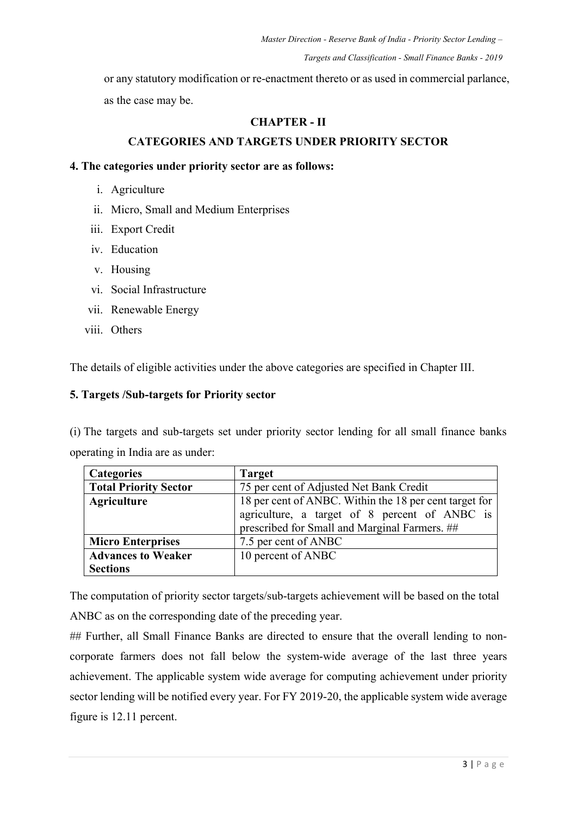or any statutory modification or re-enactment thereto or as used in commercial parlance, as the case may be.

### **CHAPTER - II**

### **CATEGORIES AND TARGETS UNDER PRIORITY SECTOR**

#### **4. The categories under priority sector are as follows:**

- i. Agriculture
- ii. Micro, Small and Medium Enterprises
- iii. Export Credit
- iv. Education
- v. Housing
- vi. Social Infrastructure
- vii. Renewable Energy
- viii. Others

The details of eligible activities under the above categories are specified in Chapter III.

#### **5. Targets /Sub-targets for Priority sector**

(i) The targets and sub-targets set under priority sector lending for all small finance banks operating in India are as under:

| <b>Categories</b>            | <b>Target</b>                                                                                                                                            |  |  |
|------------------------------|----------------------------------------------------------------------------------------------------------------------------------------------------------|--|--|
| <b>Total Priority Sector</b> | 75 per cent of Adjusted Net Bank Credit                                                                                                                  |  |  |
| <b>Agriculture</b>           | 18 per cent of ANBC. Within the 18 per cent target for<br>agriculture, a target of 8 percent of ANBC is<br>prescribed for Small and Marginal Farmers. ## |  |  |
| <b>Micro Enterprises</b>     | 7.5 per cent of ANBC                                                                                                                                     |  |  |
| <b>Advances to Weaker</b>    | 10 percent of ANBC                                                                                                                                       |  |  |
| <b>Sections</b>              |                                                                                                                                                          |  |  |

The computation of priority sector targets/sub-targets achievement will be based on the total ANBC as on the corresponding date of the preceding year.

## Further, all Small Finance Banks are directed to ensure that the overall lending to noncorporate farmers does not fall below the system-wide average of the last three years achievement. The applicable system wide average for computing achievement under priority sector lending will be notified every year. For FY 2019-20, the applicable system wide average figure is 12.11 percent.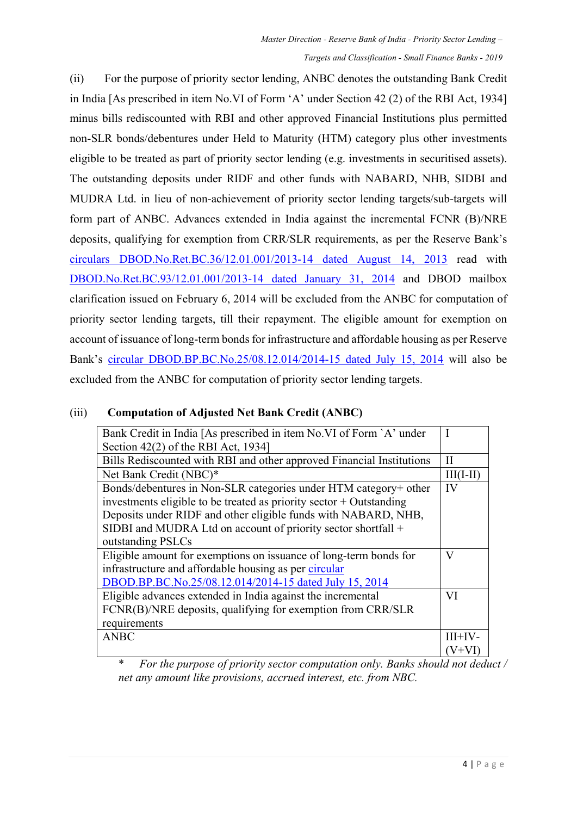(ii) For the purpose of priority sector lending, ANBC denotes the outstanding Bank Credit in India [As prescribed in item No.VI of Form 'A' under Section 42 (2) of the RBI Act, 1934] minus bills rediscounted with RBI and other approved Financial Institutions plus permitted non-SLR bonds/debentures under Held to Maturity (HTM) category plus other investments eligible to be treated as part of priority sector lending (e.g. investments in securitised assets). The outstanding deposits under RIDF and other funds with NABARD, NHB, SIDBI and MUDRA Ltd. in lieu of non-achievement of priority sector lending targets/sub-targets will form part of ANBC. Advances extended in India against the incremental FCNR (B)/NRE deposits, qualifying for exemption from CRR/SLR requirements, as per the Reserve Bank's [circulars DBOD.No.Ret.BC.36/12.01.001/2013-14 dated August 14, 2013](https://www.rbi.org.in/Scripts/NotificationUser.aspx?Id=8309&Mode=0) read with [DBOD.No.Ret.BC.93/12.01.001/2013-14 dated January 31, 2014](https://www.rbi.org.in/Scripts/NotificationUser.aspx?Id=8726&Mode=0) and DBOD mailbox clarification issued on February 6, 2014 will be excluded from the ANBC for computation of priority sector lending targets, till their repayment. The eligible amount for exemption on account of issuance of long-term bonds for infrastructure and affordable housing as per Reserve Bank's [circular DBOD.BP.BC.No.25/08.12.014/2014-15 dated July 15, 2014](https://www.rbi.org.in/Scripts/NotificationUser.aspx?Id=9103&Mode=0) will also be excluded from the ANBC for computation of priority sector lending targets.

### (iii) **Computation of Adjusted Net Bank Credit (ANBC)**

| Bank Credit in India [As prescribed in item No. VI of Form `A` under  |          |  |
|-----------------------------------------------------------------------|----------|--|
| Section 42(2) of the RBI Act, 1934]                                   |          |  |
| Bills Rediscounted with RBI and other approved Financial Institutions |          |  |
| Net Bank Credit (NBC)*                                                | 111(1-11 |  |
| Bonds/debentures in Non-SLR categories under HTM category+ other      | IV       |  |
| investments eligible to be treated as priority sector $+$ Outstanding |          |  |
| Deposits under RIDF and other eligible funds with NABARD, NHB,        |          |  |
| SIDBI and MUDRA Ltd on account of priority sector shortfall +         |          |  |
| outstanding PSLCs                                                     |          |  |
| Eligible amount for exemptions on issuance of long-term bonds for     | V        |  |
| infrastructure and affordable housing as per circular                 |          |  |
| DBOD.BP.BC.No.25/08.12.014/2014-15 dated July 15, 2014                |          |  |
| Eligible advances extended in India against the incremental           | VI       |  |
| FCNR(B)/NRE deposits, qualifying for exemption from CRR/SLR           |          |  |
| requirements                                                          |          |  |
| ANBC                                                                  | III+IV-  |  |
|                                                                       | $V + V$  |  |

\* *For the purpose of priority sector computation only. Banks should not deduct / net any amount like provisions, accrued interest, etc. from NBC.*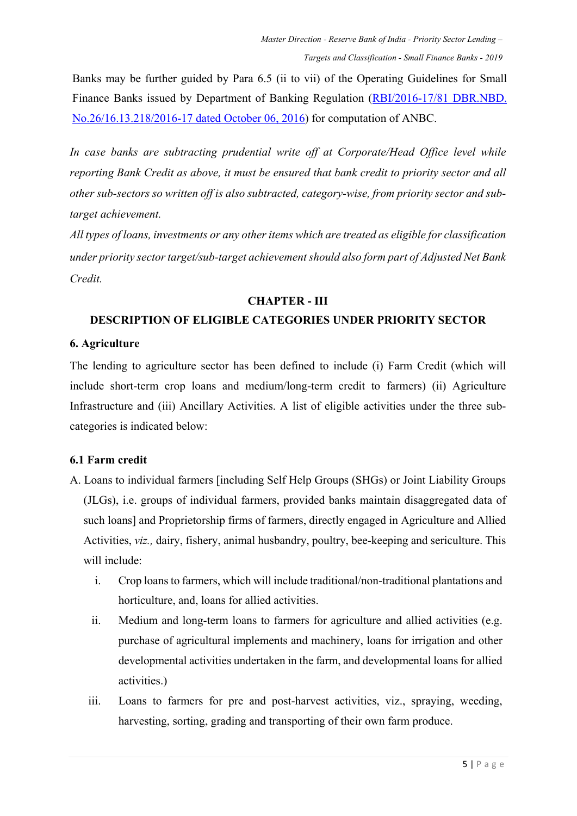Banks may be further guided by Para 6.5 (ii to vii) of the Operating Guidelines for Small Finance Banks issued by Department of Banking Regulation [\(RBI/2016-17/81 DBR.NBD.](https://www.rbi.org.in/Scripts/NotificationUser.aspx?Id=10636&Mode=0)  [No.26/16.13.218/2016-17 dated October 06, 2016\)](https://www.rbi.org.in/Scripts/NotificationUser.aspx?Id=10636&Mode=0) for computation of ANBC.

In case banks are subtracting prudential write off at Corporate/Head Office level while *reporting Bank Credit as above, it must be ensured that bank credit to priority sector and all other sub-sectors so written off is also subtracted, category-wise, from priority sector and subtarget achievement.*

*All types of loans, investments or any other items which are treated as eligible for classification under priority sector target/sub-target achievement should also form part of Adjusted Net Bank Credit.*

#### **CHAPTER - III**

### **DESCRIPTION OF ELIGIBLE CATEGORIES UNDER PRIORITY SECTOR**

#### **6. Agriculture**

The lending to agriculture sector has been defined to include (i) Farm Credit (which will include short-term crop loans and medium/long-term credit to farmers) (ii) Agriculture Infrastructure and (iii) Ancillary Activities. A list of eligible activities under the three subcategories is indicated below:

#### **6.1 Farm credit**

- A. Loans to individual farmers [including Self Help Groups (SHGs) or Joint Liability Groups (JLGs), i.e. groups of individual farmers, provided banks maintain disaggregated data of such loans] and Proprietorship firms of farmers, directly engaged in Agriculture and Allied Activities, *viz.,* dairy, fishery, animal husbandry, poultry, bee-keeping and sericulture. This will include:
	- i. Crop loans to farmers, which will include traditional/non-traditional plantations and horticulture, and, loans for allied activities.
	- ii. Medium and long-term loans to farmers for agriculture and allied activities (e.g. purchase of agricultural implements and machinery, loans for irrigation and other developmental activities undertaken in the farm, and developmental loans for allied activities.)
	- iii. Loans to farmers for pre and post-harvest activities, viz., spraying, weeding, harvesting, sorting, grading and transporting of their own farm produce.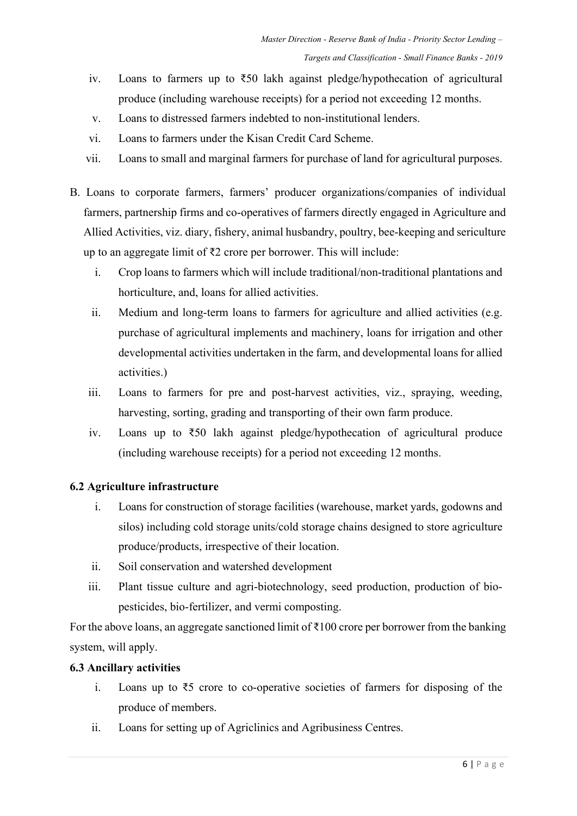- iv. Loans to farmers up to ₹50 lakh against pledge/hypothecation of agricultural produce (including warehouse receipts) for a period not exceeding 12 months.
- v. Loans to distressed farmers indebted to non-institutional lenders.
- vi. Loans to farmers under the Kisan Credit Card Scheme.
- vii. Loans to small and marginal farmers for purchase of land for agricultural purposes.
- B. Loans to corporate farmers, farmers' producer organizations/companies of individual farmers, partnership firms and co-operatives of farmers directly engaged in Agriculture and Allied Activities, viz. diary, fishery, animal husbandry, poultry, bee-keeping and sericulture up to an aggregate limit of ₹2 crore per borrower. This will include:
	- i. Crop loans to farmers which will include traditional/non-traditional plantations and horticulture, and, loans for allied activities.
	- ii. Medium and long-term loans to farmers for agriculture and allied activities (e.g. purchase of agricultural implements and machinery, loans for irrigation and other developmental activities undertaken in the farm, and developmental loans for allied activities.)
	- iii. Loans to farmers for pre and post-harvest activities, viz., spraying, weeding, harvesting, sorting, grading and transporting of their own farm produce.
	- iv. Loans up to ₹50 lakh against pledge/hypothecation of agricultural produce (including warehouse receipts) for a period not exceeding 12 months.

### **6.2 Agriculture infrastructure**

- i. Loans for construction of storage facilities (warehouse, market yards, godowns and silos) including cold storage units/cold storage chains designed to store agriculture produce/products, irrespective of their location.
- ii. Soil conservation and watershed development
- iii. Plant tissue culture and agri-biotechnology, seed production, production of biopesticides, bio-fertilizer, and vermi composting.

For the above loans, an aggregate sanctioned limit of  $\bar{x}$ 100 crore per borrower from the banking system, will apply.

#### **6.3 Ancillary activities**

- i. Loans up to ₹5 crore to co-operative societies of farmers for disposing of the produce of members.
- ii. Loans for setting up of Agriclinics and Agribusiness Centres.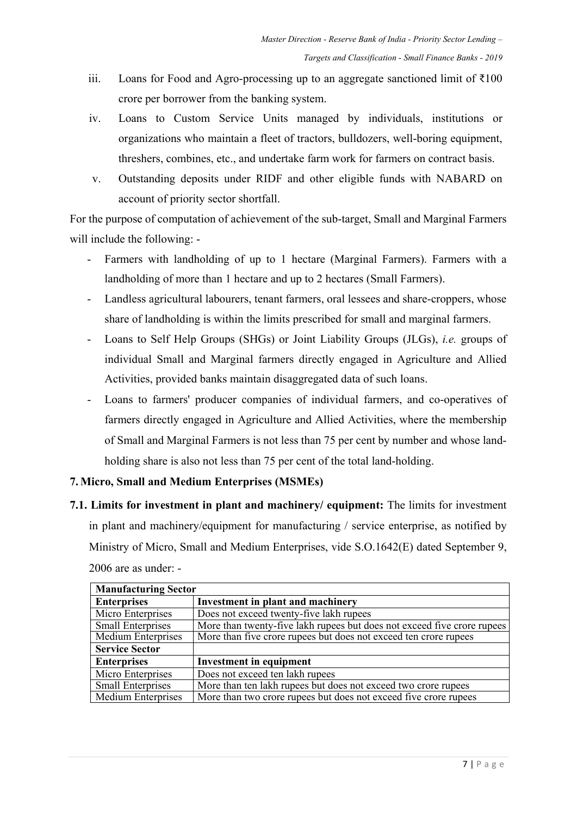- iii. Loans for Food and Agro-processing up to an aggregate sanctioned limit of  $\bar{x}100$ crore per borrower from the banking system.
- iv. Loans to Custom Service Units managed by individuals, institutions or organizations who maintain a fleet of tractors, bulldozers, well-boring equipment, threshers, combines, etc., and undertake farm work for farmers on contract basis.
- v. Outstanding deposits under RIDF and other eligible funds with NABARD on account of priority sector shortfall.

For the purpose of computation of achievement of the sub-target, Small and Marginal Farmers will include the following: -

- Farmers with landholding of up to 1 hectare (Marginal Farmers). Farmers with a landholding of more than 1 hectare and up to 2 hectares (Small Farmers).
- Landless agricultural labourers, tenant farmers, oral lessees and share-croppers, whose share of landholding is within the limits prescribed for small and marginal farmers.
- Loans to Self Help Groups (SHGs) or Joint Liability Groups (JLGs), *i.e.* groups of individual Small and Marginal farmers directly engaged in Agriculture and Allied Activities, provided banks maintain disaggregated data of such loans.
- Loans to farmers' producer companies of individual farmers, and co-operatives of farmers directly engaged in Agriculture and Allied Activities, where the membership of Small and Marginal Farmers is not less than 75 per cent by number and whose landholding share is also not less than 75 per cent of the total land-holding.

## **7. Micro, Small and Medium Enterprises (MSMEs)**

**7.1. Limits for investment in plant and machinery/ equipment:** The limits for investment in plant and machinery/equipment for manufacturing / service enterprise, as notified by Ministry of Micro, Small and Medium Enterprises, vide S.O.1642(E) dated September 9, 2006 are as under: -

| <b>Manufacturing Sector</b> |                                                                         |  |  |
|-----------------------------|-------------------------------------------------------------------------|--|--|
| <b>Enterprises</b>          | Investment in plant and machinery                                       |  |  |
| Micro Enterprises           | Does not exceed twenty-five lakh rupees                                 |  |  |
| <b>Small Enterprises</b>    | More than twenty-five lakh rupees but does not exceed five crore rupees |  |  |
| <b>Medium Enterprises</b>   | More than five crore rupees but does not exceed ten crore rupees        |  |  |
| <b>Service Sector</b>       |                                                                         |  |  |
| <b>Enterprises</b>          | <b>Investment in equipment</b>                                          |  |  |
| Micro Enterprises           | Does not exceed ten lakh rupees                                         |  |  |
| <b>Small Enterprises</b>    | More than ten lakh rupees but does not exceed two crore rupees          |  |  |
| Medium Enterprises          | More than two crore rupees but does not exceed five crore rupees        |  |  |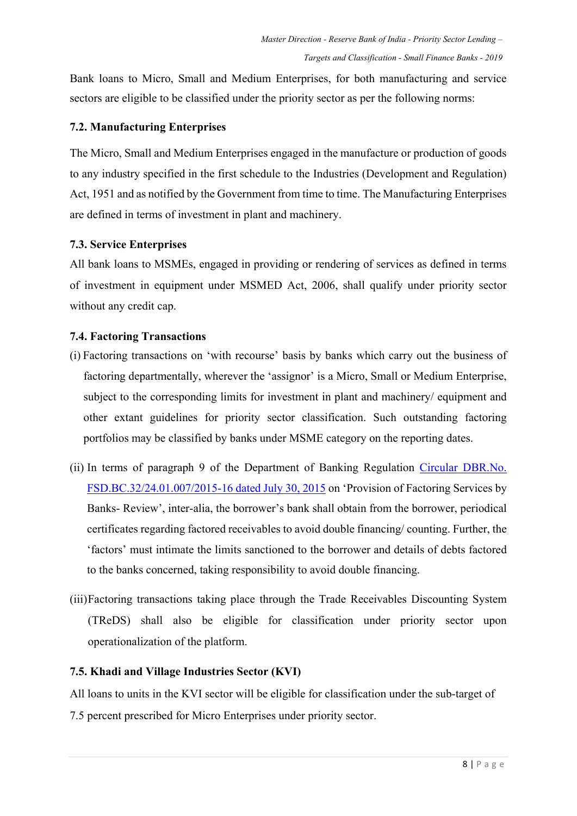Bank loans to Micro, Small and Medium Enterprises, for both manufacturing and service sectors are eligible to be classified under the priority sector as per the following norms:

### **7.2. Manufacturing Enterprises**

The Micro, Small and Medium Enterprises engaged in the manufacture or production of goods to any industry specified in the first schedule to the Industries (Development and Regulation) Act, 1951 and as notified by the Government from time to time. The Manufacturing Enterprises are defined in terms of investment in plant and machinery.

### **7.3. Service Enterprises**

All bank loans to MSMEs, engaged in providing or rendering of services as defined in terms of investment in equipment under MSMED Act, 2006, shall qualify under priority sector without any credit cap.

### **7.4. Factoring Transactions**

- (i) Factoring transactions on 'with recourse' basis by banks which carry out the business of factoring departmentally, wherever the 'assignor' is a Micro, Small or Medium Enterprise, subject to the corresponding limits for investment in plant and machinery/ equipment and other extant guidelines for priority sector classification. Such outstanding factoring portfolios may be classified by banks under MSME category on the reporting dates.
- (ii) In terms of paragraph 9 of the Department of Banking Regulation [Circular DBR.No.](https://www.rbi.org.in/Scripts/NotificationUser.aspx?Id=9965&Mode=0) [FSD.BC.32/24.01.007/2015-16 dated July 30, 2015](https://www.rbi.org.in/Scripts/NotificationUser.aspx?Id=9965&Mode=0) on 'Provision of Factoring Services by Banks- Review', inter-alia, the borrower's bank shall obtain from the borrower, periodical certificates regarding factored receivables to avoid double financing/ counting. Further, the 'factors' must intimate the limits sanctioned to the borrower and details of debts factored to the banks concerned, taking responsibility to avoid double financing.
- (iii)Factoring transactions taking place through the Trade Receivables Discounting System (TReDS) shall also be eligible for classification under priority sector upon operationalization of the platform.

### **7.5. Khadi and Village Industries Sector (KVI)**

All loans to units in the KVI sector will be eligible for classification under the sub-target of 7.5 percent prescribed for Micro Enterprises under priority sector.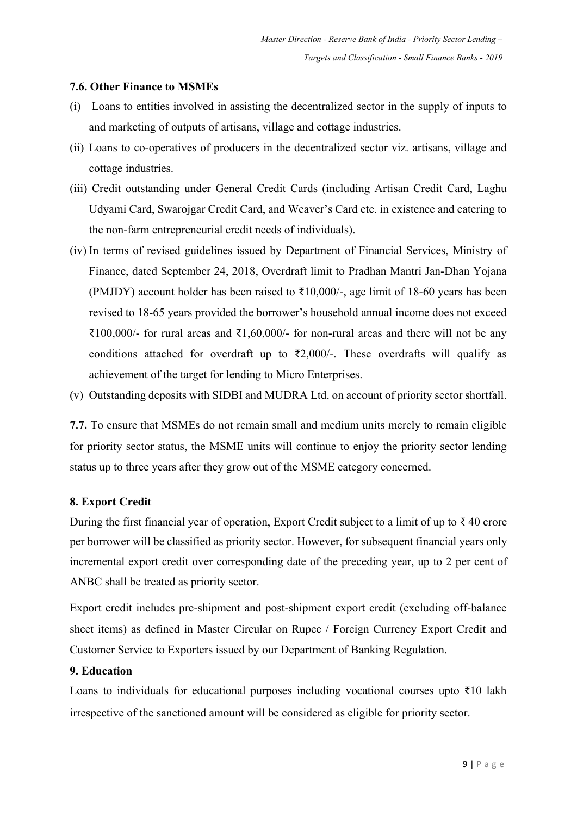### **7.6. Other Finance to MSMEs**

- (i) Loans to entities involved in assisting the decentralized sector in the supply of inputs to and marketing of outputs of artisans, village and cottage industries.
- (ii) Loans to co-operatives of producers in the decentralized sector viz. artisans, village and cottage industries.
- (iii) Credit outstanding under General Credit Cards (including Artisan Credit Card, Laghu Udyami Card, Swarojgar Credit Card, and Weaver's Card etc. in existence and catering to the non-farm entrepreneurial credit needs of individuals).
- (iv) In terms of revised guidelines issued by Department of Financial Services, Ministry of Finance, dated September 24, 2018, Overdraft limit to Pradhan Mantri Jan-Dhan Yojana (PMJDY) account holder has been raised to  $\text{\textsterling}10,000/$ -, age limit of 18-60 years has been revised to 18-65 years provided the borrower's household annual income does not exceed ₹100,000/- for rural areas and ₹1,60,000/- for non-rural areas and there will not be any conditions attached for overdraft up to  $\overline{(}2,000/-$ . These overdrafts will qualify as achievement of the target for lending to Micro Enterprises.
- (v) Outstanding deposits with SIDBI and MUDRA Ltd. on account of priority sector shortfall.

**7.7.** To ensure that MSMEs do not remain small and medium units merely to remain eligible for priority sector status, the MSME units will continue to enjoy the priority sector lending status up to three years after they grow out of the MSME category concerned.

#### **8. Export Credit**

During the first financial year of operation, Export Credit subject to a limit of up to ₹ 40 crore per borrower will be classified as priority sector. However, for subsequent financial years only incremental export credit over corresponding date of the preceding year, up to 2 per cent of ANBC shall be treated as priority sector.

Export credit includes pre-shipment and post-shipment export credit (excluding off-balance sheet items) as defined in Master Circular on Rupee / Foreign Currency Export Credit and Customer Service to Exporters issued by our Department of Banking Regulation.

#### **9. Education**

Loans to individuals for educational purposes including vocational courses upto ₹10 lakh irrespective of the sanctioned amount will be considered as eligible for priority sector.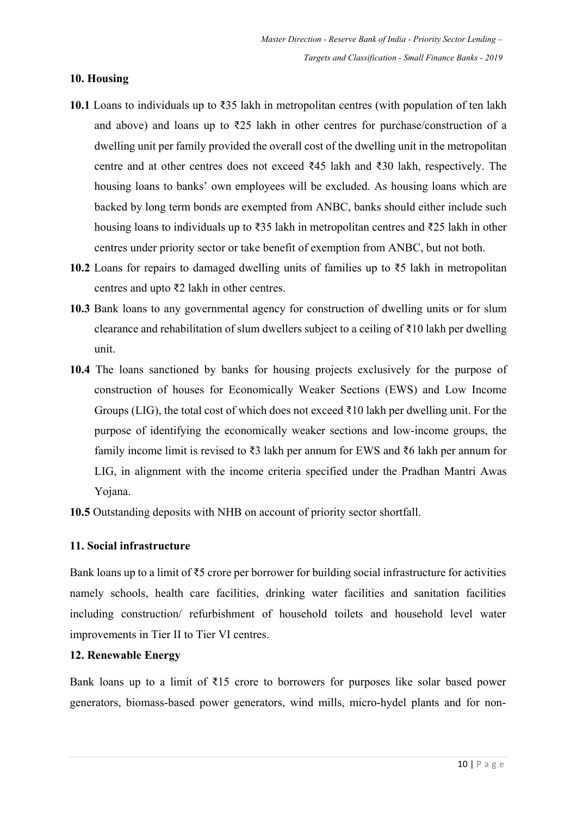### **10. Housing**

- **10.1** Loans to individuals up to ₹35 lakh in metropolitan centres (with population of ten lakh and above) and loans up to  $\overline{225}$  lakh in other centres for purchase/construction of a dwelling unit per family provided the overall cost of the dwelling unit in the metropolitan centre and at other centres does not exceed ₹45 lakh and ₹30 lakh, respectively. The housing loans to banks' own employees will be excluded. As housing loans which are backed by long term bonds are exempted from ANBC, banks should either include such housing loans to individuals up to ₹35 lakh in metropolitan centres and ₹25 lakh in other centres under priority sector or take benefit of exemption from ANBC, but not both.
- **10.2** Loans for repairs to damaged dwelling units of families up to ₹5 lakh in metropolitan centres and upto ₹2 lakh in other centres.
- **10.3** Bank loans to any governmental agency for construction of dwelling units or for slum clearance and rehabilitation of slum dwellers subject to a ceiling of ₹10 lakh per dwelling unit.
- **10.4** The loans sanctioned by banks for housing projects exclusively for the purpose of construction of houses for Economically Weaker Sections (EWS) and Low Income Groups (LIG), the total cost of which does not exceed  $\bar{\tau}$ 10 lakh per dwelling unit. For the purpose of identifying the economically weaker sections and low-income groups, the family income limit is revised to ₹3 lakh per annum for EWS and ₹6 lakh per annum for LIG, in alignment with the income criteria specified under the Pradhan Mantri Awas Yojana.
- **10.5** Outstanding deposits with NHB on account of priority sector shortfall.

#### **11. Social infrastructure**

Bank loans up to a limit of ₹5 crore per borrower for building social infrastructure for activities namely schools, health care facilities, drinking water facilities and sanitation facilities including construction/ refurbishment of household toilets and household level water improvements in Tier II to Tier VI centres.

#### **12. Renewable Energy**

Bank loans up to a limit of  $\bar{x}$ 15 crore to borrowers for purposes like solar based power generators, biomass-based power generators, wind mills, micro-hydel plants and for non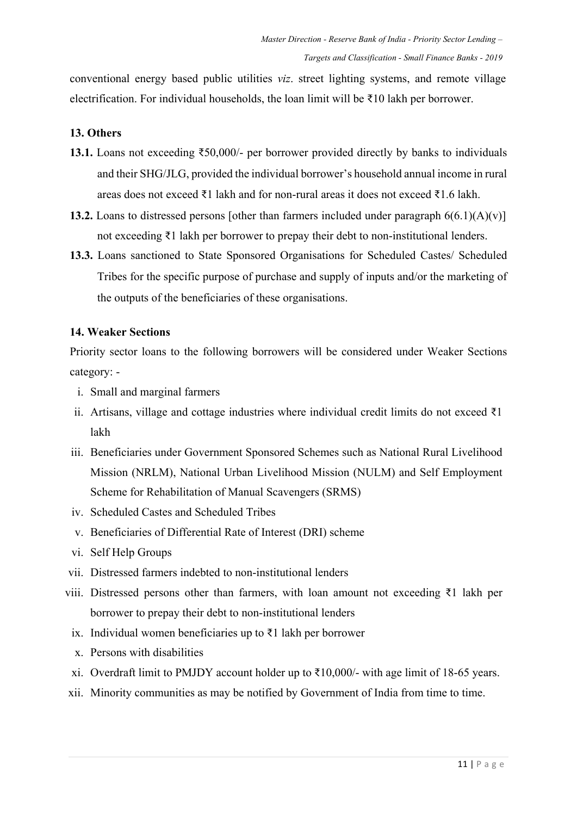conventional energy based public utilities *viz*. street lighting systems, and remote village electrification. For individual households, the loan limit will be ₹10 lakh per borrower.

### **13. Others**

- **13.1.** Loans not exceeding ₹50,000/- per borrower provided directly by banks to individuals and their SHG/JLG, provided the individual borrower's household annual income in rural areas does not exceed ₹1 lakh and for non-rural areas it does not exceed ₹1.6 lakh.
- **13.2.** Loans to distressed persons [other than farmers included under paragraph  $6(6.1)(A)(v)$ ] not exceeding ₹1 lakh per borrower to prepay their debt to non-institutional lenders.
- **13.3.** Loans sanctioned to State Sponsored Organisations for Scheduled Castes/ Scheduled Tribes for the specific purpose of purchase and supply of inputs and/or the marketing of the outputs of the beneficiaries of these organisations.

### **14. Weaker Sections**

Priority sector loans to the following borrowers will be considered under Weaker Sections category: -

- i. Small and marginal farmers
- ii. Artisans, village and cottage industries where individual credit limits do not exceed  $\bar{\tau}$ 1 lakh
- iii. Beneficiaries under Government Sponsored Schemes such as National Rural Livelihood Mission (NRLM), National Urban Livelihood Mission (NULM) and Self Employment Scheme for Rehabilitation of Manual Scavengers (SRMS)
- iv. Scheduled Castes and Scheduled Tribes
- v. Beneficiaries of Differential Rate of Interest (DRI) scheme
- vi. Self Help Groups
- vii. Distressed farmers indebted to non-institutional lenders
- viii. Distressed persons other than farmers, with loan amount not exceeding ₹1 lakh per borrower to prepay their debt to non-institutional lenders
	- ix. Individual women beneficiaries up to ₹1 lakh per borrower
	- x. Persons with disabilities
	- xi. Overdraft limit to PMJDY account holder up to  $\text{\textsterling}10,000$ /- with age limit of 18-65 years.
- xii. Minority communities as may be notified by Government of India from time to time.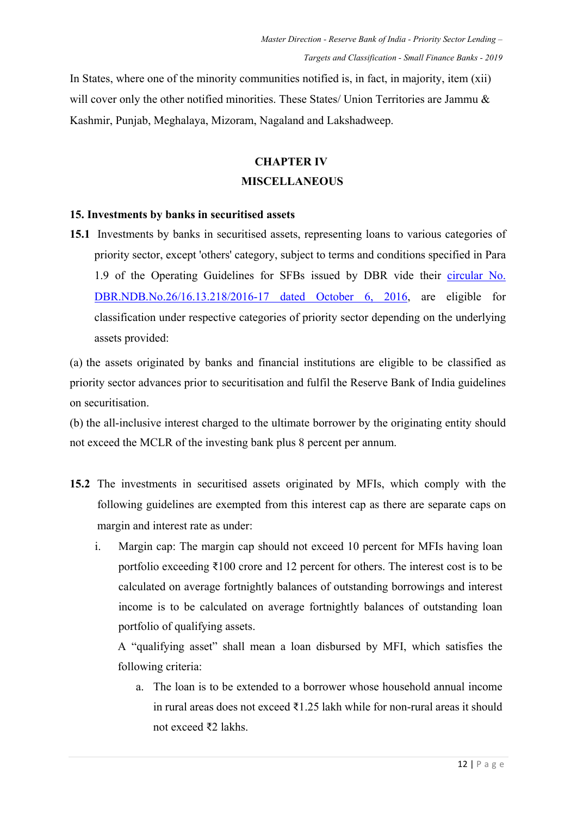In States, where one of the minority communities notified is, in fact, in majority, item (xii) will cover only the other notified minorities. These States/ Union Territories are Jammu & Kashmir, Punjab, Meghalaya, Mizoram, Nagaland and Lakshadweep.

## **CHAPTER IV**

#### **MISCELLANEOUS**

#### **15. Investments by banks in securitised assets**

**15.1** Investments by banks in securitised assets, representing loans to various categories of priority sector, except 'others' category, subject to terms and conditions specified in Para 1.9 of the Operating Guidelines for SFBs issued by DBR vide their [circular No.](https://www.rbi.org.in/Scripts/NotificationUser.aspx?Id=10636&Mode=0)  [DBR.NDB.No.26/16.13.218/2016-17 dated October 6, 2016,](https://www.rbi.org.in/Scripts/NotificationUser.aspx?Id=10636&Mode=0) are eligible for classification under respective categories of priority sector depending on the underlying assets provided:

(a) the assets originated by banks and financial institutions are eligible to be classified as priority sector advances prior to securitisation and fulfil the Reserve Bank of India guidelines on securitisation.

(b) the all-inclusive interest charged to the ultimate borrower by the originating entity should not exceed the MCLR of the investing bank plus 8 percent per annum.

- **15.2** The investments in securitised assets originated by MFIs, which comply with the following guidelines are exempted from this interest cap as there are separate caps on margin and interest rate as under:
	- i. Margin cap: The margin cap should not exceed 10 percent for MFIs having loan portfolio exceeding ₹100 crore and 12 percent for others. The interest cost is to be calculated on average fortnightly balances of outstanding borrowings and interest income is to be calculated on average fortnightly balances of outstanding loan portfolio of qualifying assets.

A "qualifying asset" shall mean a loan disbursed by MFI, which satisfies the following criteria:

a. The loan is to be extended to a borrower whose household annual income in rural areas does not exceed ₹1.25 lakh while for non-rural areas it should not exceed ₹2 lakhs.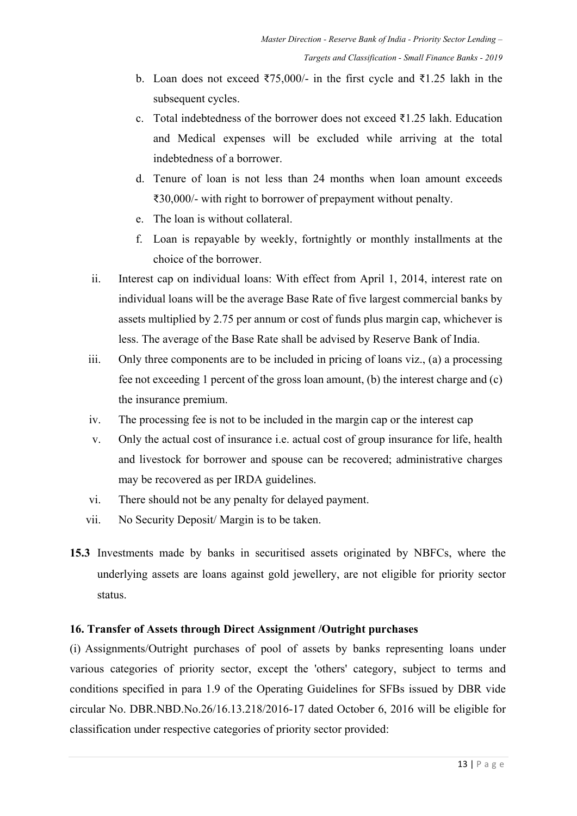- b. Loan does not exceed ₹75,000/- in the first cycle and ₹1.25 lakh in the subsequent cycles.
- c. Total indebtedness of the borrower does not exceed ₹1.25 lakh. Education and Medical expenses will be excluded while arriving at the total indebtedness of a borrower.
- d. Tenure of loan is not less than 24 months when loan amount exceeds ₹30,000/- with right to borrower of prepayment without penalty.
- e. The loan is without collateral.
- f. Loan is repayable by weekly, fortnightly or monthly installments at the choice of the borrower.
- ii. Interest cap on individual loans: With effect from April 1, 2014, interest rate on individual loans will be the average Base Rate of five largest commercial banks by assets multiplied by 2.75 per annum or cost of funds plus margin cap, whichever is less. The average of the Base Rate shall be advised by Reserve Bank of India.
- iii. Only three components are to be included in pricing of loans viz., (a) a processing fee not exceeding 1 percent of the gross loan amount, (b) the interest charge and (c) the insurance premium.
- iv. The processing fee is not to be included in the margin cap or the interest cap
- v. Only the actual cost of insurance i.e. actual cost of group insurance for life, health and livestock for borrower and spouse can be recovered; administrative charges may be recovered as per IRDA guidelines.
- vi. There should not be any penalty for delayed payment.
- vii. No Security Deposit/ Margin is to be taken.
- **15.3** Investments made by banks in securitised assets originated by NBFCs, where the underlying assets are loans against gold jewellery, are not eligible for priority sector status.

### **16. Transfer of Assets through Direct Assignment /Outright purchases**

(i) Assignments/Outright purchases of pool of assets by banks representing loans under various categories of priority sector, except the 'others' category, subject to terms and conditions specified in para 1.9 of the Operating Guidelines for SFBs issued by DBR vide circular No. DBR.NBD.No.26/16.13.218/2016-17 dated October 6, 2016 will be eligible for classification under respective categories of priority sector provided: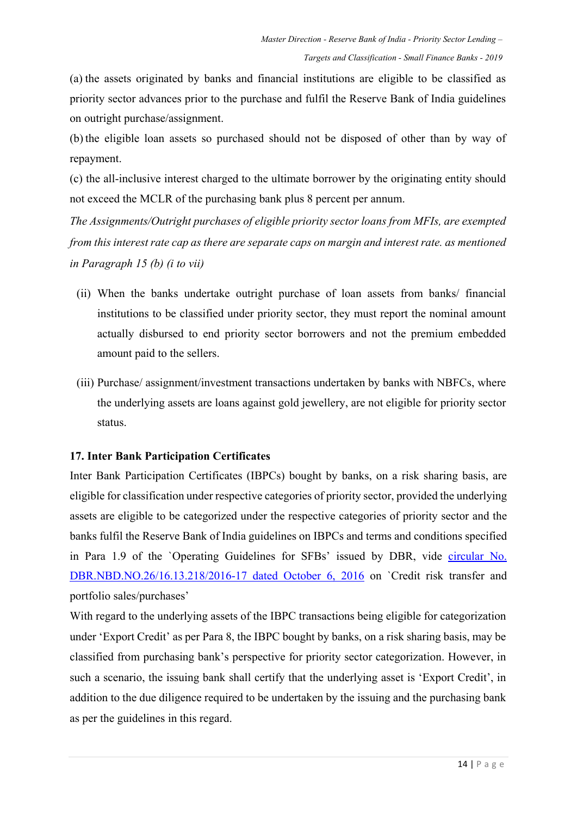(a) the assets originated by banks and financial institutions are eligible to be classified as priority sector advances prior to the purchase and fulfil the Reserve Bank of India guidelines on outright purchase/assignment.

(b) the eligible loan assets so purchased should not be disposed of other than by way of repayment.

(c) the all-inclusive interest charged to the ultimate borrower by the originating entity should not exceed the MCLR of the purchasing bank plus 8 percent per annum.

*The Assignments/Outright purchases of eligible priority sector loans from MFIs, are exempted from this interest rate cap as there are separate caps on margin and interest rate. as mentioned in Paragraph 15 (b) (i to vii)*

- (ii) When the banks undertake outright purchase of loan assets from banks/ financial institutions to be classified under priority sector, they must report the nominal amount actually disbursed to end priority sector borrowers and not the premium embedded amount paid to the sellers.
- (iii) Purchase/ assignment/investment transactions undertaken by banks with NBFCs, where the underlying assets are loans against gold jewellery, are not eligible for priority sector status.

### **17. Inter Bank Participation Certificates**

Inter Bank Participation Certificates (IBPCs) bought by banks, on a risk sharing basis, are eligible for classification under respective categories of priority sector, provided the underlying assets are eligible to be categorized under the respective categories of priority sector and the banks fulfil the Reserve Bank of India guidelines on IBPCs and terms and conditions specified in Para 1.9 of the `Operating Guidelines for SFBs' issued by DBR, vide [circular No.](https://www.rbi.org.in/Scripts/NotificationUser.aspx?Id=10636&Mode=0)  [DBR.NBD.NO.26/16.13.218/2016-17 dated October 6, 2016](https://www.rbi.org.in/Scripts/NotificationUser.aspx?Id=10636&Mode=0) on `Credit risk transfer and portfolio sales/purchases'

With regard to the underlying assets of the IBPC transactions being eligible for categorization under 'Export Credit' as per Para 8, the IBPC bought by banks, on a risk sharing basis, may be classified from purchasing bank's perspective for priority sector categorization. However, in such a scenario, the issuing bank shall certify that the underlying asset is 'Export Credit', in addition to the due diligence required to be undertaken by the issuing and the purchasing bank as per the guidelines in this regard.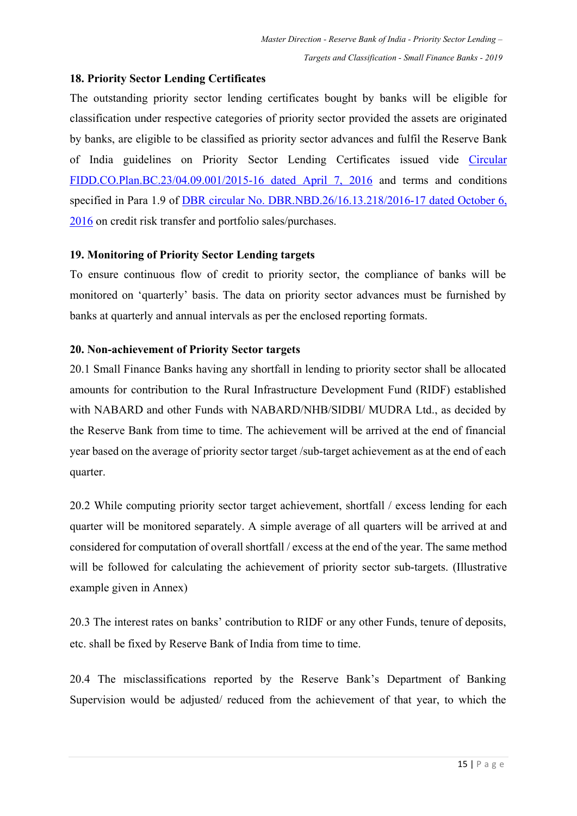### **18. Priority Sector Lending Certificates**

The outstanding priority sector lending certificates bought by banks will be eligible for classification under respective categories of priority sector provided the assets are originated by banks, are eligible to be classified as priority sector advances and fulfil the Reserve Bank of India guidelines on Priority Sector Lending Certificates issued vide [Circular](https://www.rbi.org.in/Scripts/NotificationUser.aspx?Id=10339&Mode=0)  [FIDD.CO.Plan.BC.23/04.09.001/2015-16 dated April](https://www.rbi.org.in/Scripts/NotificationUser.aspx?Id=10339&Mode=0) 7, 2016 and terms and conditions specified in Para 1.9 of [DBR circular No. DBR.NBD.26/16.13.218/2016-17 dated October 6,](https://www.rbi.org.in/Scripts/NotificationUser.aspx?Id=10636&Mode=0)  [2016](https://www.rbi.org.in/Scripts/NotificationUser.aspx?Id=10636&Mode=0) on credit risk transfer and portfolio sales/purchases.

### **19. Monitoring of Priority Sector Lending targets**

To ensure continuous flow of credit to priority sector, the compliance of banks will be monitored on 'quarterly' basis. The data on priority sector advances must be furnished by banks at quarterly and annual intervals as per the enclosed reporting formats.

### **20. Non-achievement of Priority Sector targets**

20.1 Small Finance Banks having any shortfall in lending to priority sector shall be allocated amounts for contribution to the Rural Infrastructure Development Fund (RIDF) established with NABARD and other Funds with NABARD/NHB/SIDBI/ MUDRA Ltd., as decided by the Reserve Bank from time to time. The achievement will be arrived at the end of financial year based on the average of priority sector target /sub-target achievement as at the end of each quarter.

20.2 While computing priority sector target achievement, shortfall / excess lending for each quarter will be monitored separately. A simple average of all quarters will be arrived at and considered for computation of overall shortfall / excess at the end of the year. The same method will be followed for calculating the achievement of priority sector sub-targets. (Illustrative example given in Annex)

20.3 The interest rates on banks' contribution to RIDF or any other Funds, tenure of deposits, etc. shall be fixed by Reserve Bank of India from time to time.

20.4 The misclassifications reported by the Reserve Bank's Department of Banking Supervision would be adjusted/ reduced from the achievement of that year, to which the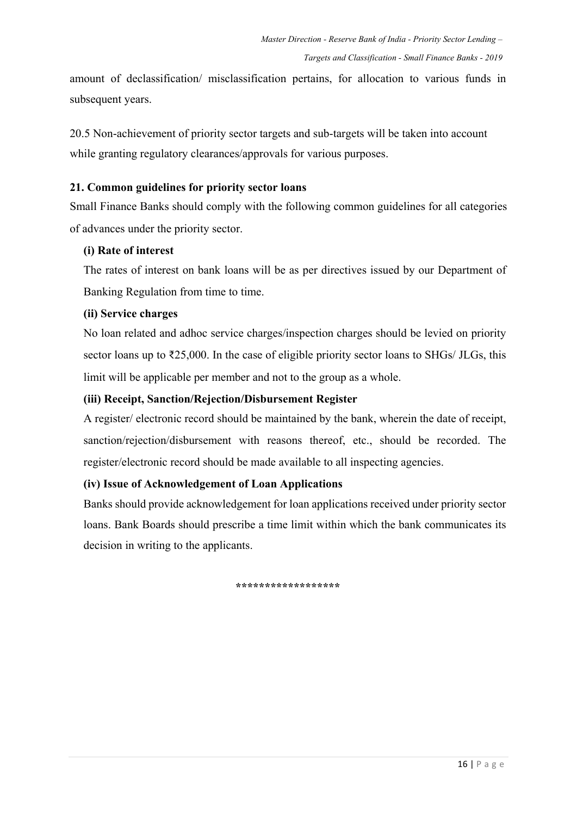amount of declassification/ misclassification pertains, for allocation to various funds in subsequent years.

20.5 Non-achievement of priority sector targets and sub-targets will be taken into account while granting regulatory clearances/approvals for various purposes.

### **21. Common guidelines for priority sector loans**

Small Finance Banks should comply with the following common guidelines for all categories of advances under the priority sector.

#### **(i) Rate of interest**

The rates of interest on bank loans will be as per directives issued by our Department of Banking Regulation from time to time.

### **(ii) Service charges**

No loan related and adhoc service charges/inspection charges should be levied on priority sector loans up to ₹25,000. In the case of eligible priority sector loans to SHGs/ JLGs, this limit will be applicable per member and not to the group as a whole.

### **(iii) Receipt, Sanction/Rejection/Disbursement Register**

A register/ electronic record should be maintained by the bank, wherein the date of receipt, sanction/rejection/disbursement with reasons thereof, etc., should be recorded. The register/electronic record should be made available to all inspecting agencies.

### **(iv) Issue of Acknowledgement of Loan Applications**

Banks should provide acknowledgement for loan applications received under priority sector loans. Bank Boards should prescribe a time limit within which the bank communicates its decision in writing to the applicants.

**\*\*\*\*\*\*\*\*\*\*\*\*\*\*\*\*\*\***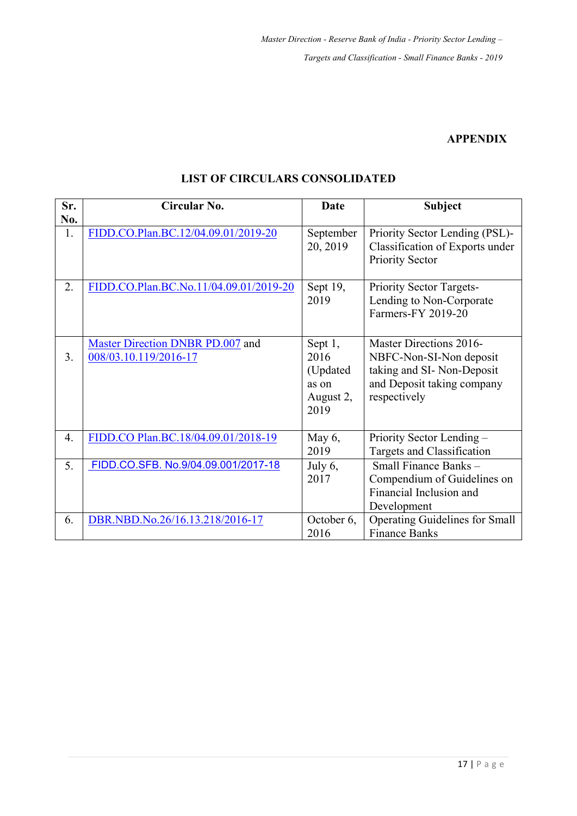### **APPENDIX**

| Sr.<br>No.       | Circular No.                                              | <b>Date</b>                                               | <b>Subject</b>                                                                                                                |
|------------------|-----------------------------------------------------------|-----------------------------------------------------------|-------------------------------------------------------------------------------------------------------------------------------|
| 1.               | FIDD.CO.Plan.BC.12/04.09.01/2019-20                       | September<br>20, 2019                                     | Priority Sector Lending (PSL)-<br>Classification of Exports under<br>Priority Sector                                          |
| 2.               | FIDD.CO.Plan.BC.No.11/04.09.01/2019-20                    | Sept $19$ ,<br>2019                                       | Priority Sector Targets-<br>Lending to Non-Corporate<br><b>Farmers-FY 2019-20</b>                                             |
| 3.               | Master Direction DNBR PD.007 and<br>008/03.10.119/2016-17 | Sept 1,<br>2016<br>(Updated<br>as on<br>August 2,<br>2019 | Master Directions 2016-<br>NBFC-Non-SI-Non deposit<br>taking and SI-Non-Deposit<br>and Deposit taking company<br>respectively |
| $\overline{4}$ . | FIDD.CO Plan.BC.18/04.09.01/2018-19                       | May $6,$<br>2019                                          | Priority Sector Lending -<br>Targets and Classification                                                                       |
| 5.               | FIDD.CO.SFB. No.9/04.09.001/2017-18                       | July 6,<br>2017                                           | Small Finance Banks-<br>Compendium of Guidelines on<br>Financial Inclusion and<br>Development                                 |
| 6.               | DBR.NBD.No.26/16.13.218/2016-17                           | October 6,<br>2016                                        | <b>Operating Guidelines for Small</b><br><b>Finance Banks</b>                                                                 |

## **LIST OF CIRCULARS CONSOLIDATED**